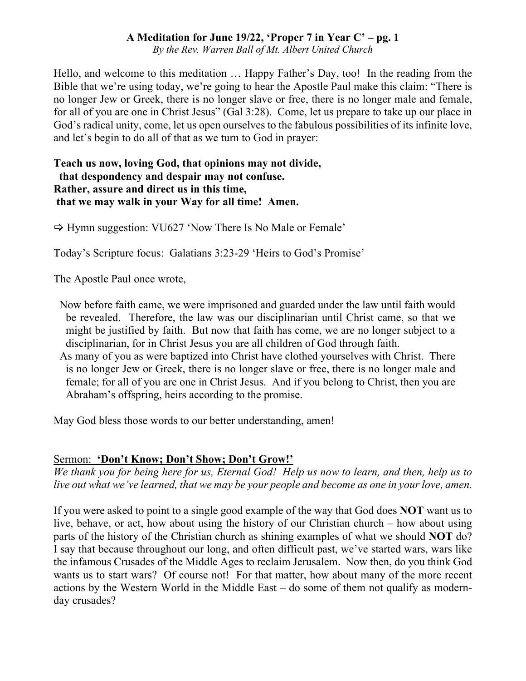*By the Rev. Warren Ball of Mt. Albert United Church*

Hello, and welcome to this meditation … Happy Father's Day, too! In the reading from the Bible that we're using today, we're going to hear the Apostle Paul make this claim: "There is no longer Jew or Greek, there is no longer slave or free, there is no longer male and female, for all of you are one in Christ Jesus" (Gal 3:28). Come, let us prepare to take up our place in God's radical unity, come, let us open ourselves to the fabulous possibilities of its infinite love, and let's begin to do all of that as we turn to God in prayer:

#### **Teach us now, loving God, that opinions may not divide, that despondency and despair may not confuse. Rather, assure and direct us in this time, that we may walk in your Way for all time! Amen.**

 $\Rightarrow$  Hymn suggestion: VU627 'Now There Is No Male or Female'

Today's Scripture focus: Galatians 3:23-29 'Heirs to God's Promise'

The Apostle Paul once wrote,

Now before faith came, we were imprisoned and guarded under the law until faith would be revealed. Therefore, the law was our disciplinarian until Christ came, so that we might be justified by faith. But now that faith has come, we are no longer subject to a disciplinarian, for in Christ Jesus you are all children of God through faith.

As many of you as were baptized into Christ have clothed yourselves with Christ. There is no longer Jew or Greek, there is no longer slave or free, there is no longer male and female; for all of you are one in Christ Jesus. And if you belong to Christ, then you are Abraham's offspring, heirs according to the promise.

May God bless those words to our better understanding, amen!

## Sermon: **'Don't Know; Don't Show; Don't Grow!'**

*We thank you for being here for us, Eternal God! Help us now to learn, and then, help us to live out what we've learned, that we may be your people and become as one in your love, amen.*

If you were asked to point to a single good example of the way that God does **NOT** want us to live, behave, or act, how about using the history of our Christian church – how about using parts of the history of the Christian church as shining examples of what we should **NOT** do? I say that because throughout our long, and often difficult past, we've started wars, wars like the infamous Crusades of the Middle Ages to reclaim Jerusalem. Now then, do you think God wants us to start wars? Of course not! For that matter, how about many of the more recent actions by the Western World in the Middle East – do some of them not qualify as modernday crusades?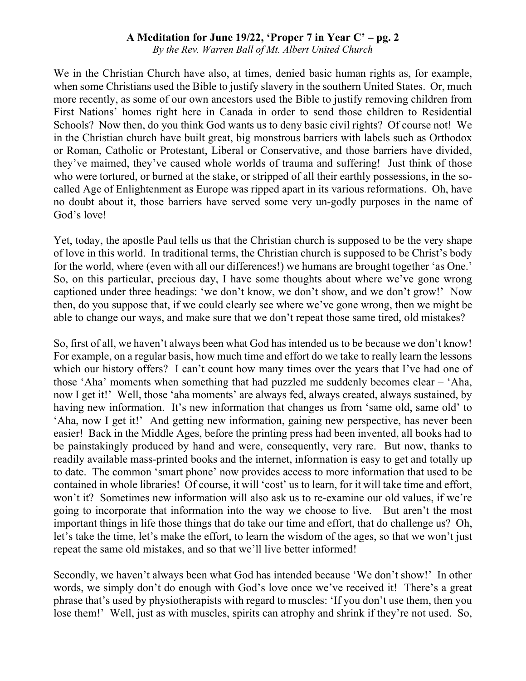*By the Rev. Warren Ball of Mt. Albert United Church*

We in the Christian Church have also, at times, denied basic human rights as, for example, when some Christians used the Bible to justify slavery in the southern United States. Or, much more recently, as some of our own ancestors used the Bible to justify removing children from First Nations' homes right here in Canada in order to send those children to Residential Schools? Now then, do you think God wants us to deny basic civil rights? Of course not! We in the Christian church have built great, big monstrous barriers with labels such as Orthodox or Roman, Catholic or Protestant, Liberal or Conservative, and those barriers have divided, they've maimed, they've caused whole worlds of trauma and suffering! Just think of those who were tortured, or burned at the stake, or stripped of all their earthly possessions, in the socalled Age of Enlightenment as Europe was ripped apart in its various reformations. Oh, have no doubt about it, those barriers have served some very un-godly purposes in the name of God's love!

Yet, today, the apostle Paul tells us that the Christian church is supposed to be the very shape of love in this world. In traditional terms, the Christian church is supposed to be Christ's body for the world, where (even with all our differences!) we humans are brought together 'as One.' So, on this particular, precious day, I have some thoughts about where we've gone wrong captioned under three headings: 'we don't know, we don't show, and we don't grow!' Now then, do you suppose that, if we could clearly see where we've gone wrong, then we might be able to change our ways, and make sure that we don't repeat those same tired, old mistakes?

So, first of all, we haven't always been what God has intended us to be because we don't know! For example, on a regular basis, how much time and effort do we take to really learn the lessons which our history offers? I can't count how many times over the years that I've had one of those 'Aha' moments when something that had puzzled me suddenly becomes clear – 'Aha, now I get it!' Well, those 'aha moments' are always fed, always created, always sustained, by having new information. It's new information that changes us from 'same old, same old' to 'Aha, now I get it!' And getting new information, gaining new perspective, has never been easier! Back in the Middle Ages, before the printing press had been invented, all books had to be painstakingly produced by hand and were, consequently, very rare. But now, thanks to readily available mass-printed books and the internet, information is easy to get and totally up to date. The common 'smart phone' now provides access to more information that used to be contained in whole libraries! Of course, it will 'cost' us to learn, for it will take time and effort, won't it? Sometimes new information will also ask us to re-examine our old values, if we're going to incorporate that information into the way we choose to live. But aren't the most important things in life those things that do take our time and effort, that do challenge us? Oh, let's take the time, let's make the effort, to learn the wisdom of the ages, so that we won't just repeat the same old mistakes, and so that we'll live better informed!

Secondly, we haven't always been what God has intended because 'We don't show!' In other words, we simply don't do enough with God's love once we've received it! There's a great phrase that's used by physiotherapists with regard to muscles: 'If you don't use them, then you lose them!' Well, just as with muscles, spirits can atrophy and shrink if they're not used. So,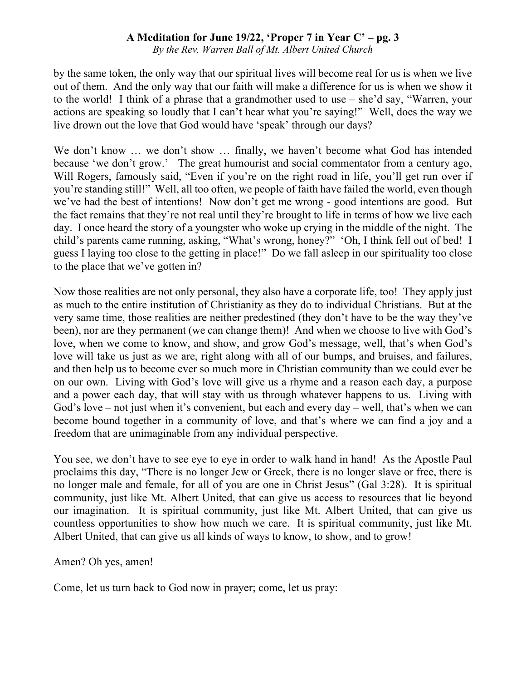*By the Rev. Warren Ball of Mt. Albert United Church*

by the same token, the only way that our spiritual lives will become real for us is when we live out of them. And the only way that our faith will make a difference for us is when we show it to the world! I think of a phrase that a grandmother used to use – she'd say, "Warren, your actions are speaking so loudly that I can't hear what you're saying!" Well, does the way we live drown out the love that God would have 'speak' through our days?

We don't know ... we don't show ... finally, we haven't become what God has intended because 'we don't grow.' The great humourist and social commentator from a century ago, Will Rogers, famously said, "Even if you're on the right road in life, you'll get run over if you're standing still!" Well, all too often, we people of faith have failed the world, even though we've had the best of intentions! Now don't get me wrong - good intentions are good. But the fact remains that they're not real until they're brought to life in terms of how we live each day. I once heard the story of a youngster who woke up crying in the middle of the night. The child's parents came running, asking, "What's wrong, honey?" 'Oh, I think fell out of bed! I guess I laying too close to the getting in place!" Do we fall asleep in our spirituality too close to the place that we've gotten in?

Now those realities are not only personal, they also have a corporate life, too! They apply just as much to the entire institution of Christianity as they do to individual Christians. But at the very same time, those realities are neither predestined (they don't have to be the way they've been), nor are they permanent (we can change them)! And when we choose to live with God's love, when we come to know, and show, and grow God's message, well, that's when God's love will take us just as we are, right along with all of our bumps, and bruises, and failures, and then help us to become ever so much more in Christian community than we could ever be on our own. Living with God's love will give us a rhyme and a reason each day, a purpose and a power each day, that will stay with us through whatever happens to us. Living with God's love – not just when it's convenient, but each and every day – well, that's when we can become bound together in a community of love, and that's where we can find a joy and a freedom that are unimaginable from any individual perspective.

You see, we don't have to see eye to eye in order to walk hand in hand! As the Apostle Paul proclaims this day, "There is no longer Jew or Greek, there is no longer slave or free, there is no longer male and female, for all of you are one in Christ Jesus" (Gal 3:28). It is spiritual community, just like Mt. Albert United, that can give us access to resources that lie beyond our imagination. It is spiritual community, just like Mt. Albert United, that can give us countless opportunities to show how much we care. It is spiritual community, just like Mt. Albert United, that can give us all kinds of ways to know, to show, and to grow!

Amen? Oh yes, amen!

Come, let us turn back to God now in prayer; come, let us pray: